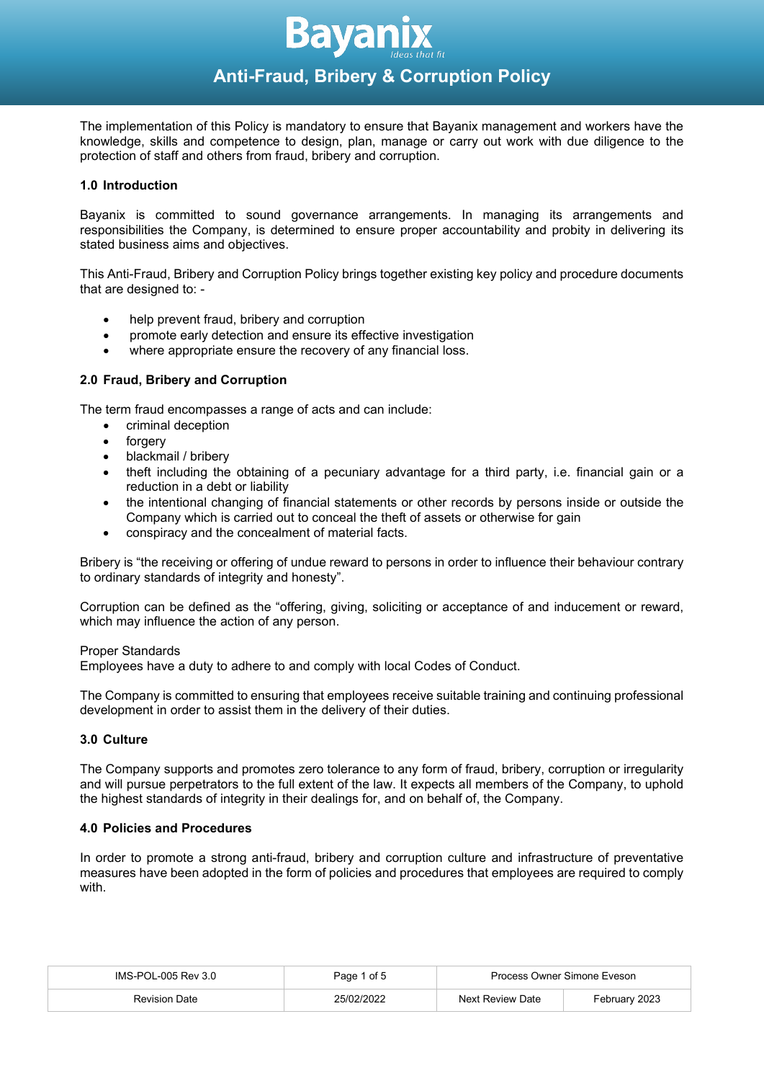

The implementation of this Policy is mandatory to ensure that Bayanix management and workers have the knowledge, skills and competence to design, plan, manage or carry out work with due diligence to the protection of staff and others from fraud, bribery and corruption.

# **1.0 Introduction**

Bayanix is committed to sound governance arrangements. In managing its arrangements and responsibilities the Company, is determined to ensure proper accountability and probity in delivering its stated business aims and objectives.

This Anti-Fraud, Bribery and Corruption Policy brings together existing key policy and procedure documents that are designed to: -

- help prevent fraud, bribery and corruption
- promote early detection and ensure its effective investigation
- where appropriate ensure the recovery of any financial loss.

# **2.0 Fraud, Bribery and Corruption**

The term fraud encompasses a range of acts and can include:

- criminal deception
- **forgery**
- blackmail / bribery
- theft including the obtaining of a pecuniary advantage for a third party, i.e. financial gain or a reduction in a debt or liability
- the intentional changing of financial statements or other records by persons inside or outside the Company which is carried out to conceal the theft of assets or otherwise for gain
- conspiracy and the concealment of material facts.

Bribery is "the receiving or offering of undue reward to persons in order to influence their behaviour contrary to ordinary standards of integrity and honesty".

Corruption can be defined as the "offering, giving, soliciting or acceptance of and inducement or reward, which may influence the action of any person.

#### Proper Standards

Employees have a duty to adhere to and comply with local Codes of Conduct.

The Company is committed to ensuring that employees receive suitable training and continuing professional development in order to assist them in the delivery of their duties.

# **3.0 Culture**

The Company supports and promotes zero tolerance to any form of fraud, bribery, corruption or irregularity and will pursue perpetrators to the full extent of the law. It expects all members of the Company, to uphold the highest standards of integrity in their dealings for, and on behalf of, the Company.

#### **4.0 Policies and Procedures**

In order to promote a strong anti-fraud, bribery and corruption culture and infrastructure of preventative measures have been adopted in the form of policies and procedures that employees are required to comply with.

| IMS-POL-005 Rev 3.0  | Page 1 of 5 | Process Owner Simone Eveson |               |
|----------------------|-------------|-----------------------------|---------------|
| <b>Revision Date</b> | 25/02/2022  | Next Review Date            | February 2023 |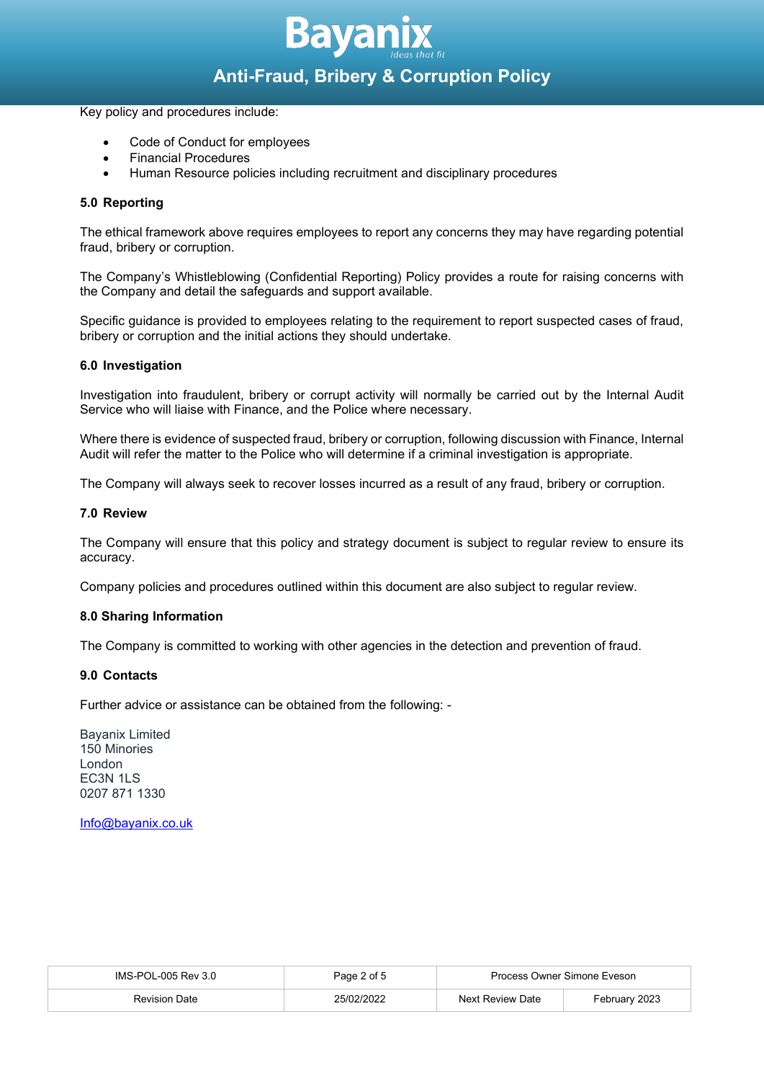

# **Anti-Fraud, Bribery & Corruption Policy**

Key policy and procedures include:

- Code of Conduct for employees
- Financial Procedures
- Human Resource policies including recruitment and disciplinary procedures

### **5.0 Reporting**

The ethical framework above requires employees to report any concerns they may have regarding potential fraud, bribery or corruption.

The Company's Whistleblowing (Confidential Reporting) Policy provides a route for raising concerns with the Company and detail the safeguards and support available.

Specific guidance is provided to employees relating to the requirement to report suspected cases of fraud, bribery or corruption and the initial actions they should undertake.

#### **6.0 Investigation**

Investigation into fraudulent, bribery or corrupt activity will normally be carried out by the Internal Audit Service who will liaise with Finance, and the Police where necessary.

Where there is evidence of suspected fraud, bribery or corruption, following discussion with Finance, Internal Audit will refer the matter to the Police who will determine if a criminal investigation is appropriate.

The Company will always seek to recover losses incurred as a result of any fraud, bribery or corruption.

#### **7.0 Review**

The Company will ensure that this policy and strategy document is subject to regular review to ensure its accuracy.

Company policies and procedures outlined within this document are also subject to regular review.

#### **8.0 Sharing Information**

The Company is committed to working with other agencies in the detection and prevention of fraud.

#### **9.0 Contacts**

Further advice or assistance can be obtained from the following: -

Bayanix Limited 150 Minories London EC3N 1LS 0207 871 1330

[Info@bayanix.co.uk](mailto:Info@bayanix.co.uk)

| IMS-POL-005 Rev 3.0 | Page 2 of 5 | Process Owner Simone Eveson |               |
|---------------------|-------------|-----------------------------|---------------|
| Revision Date       |             | Next Review Date            | Februarv 2023 |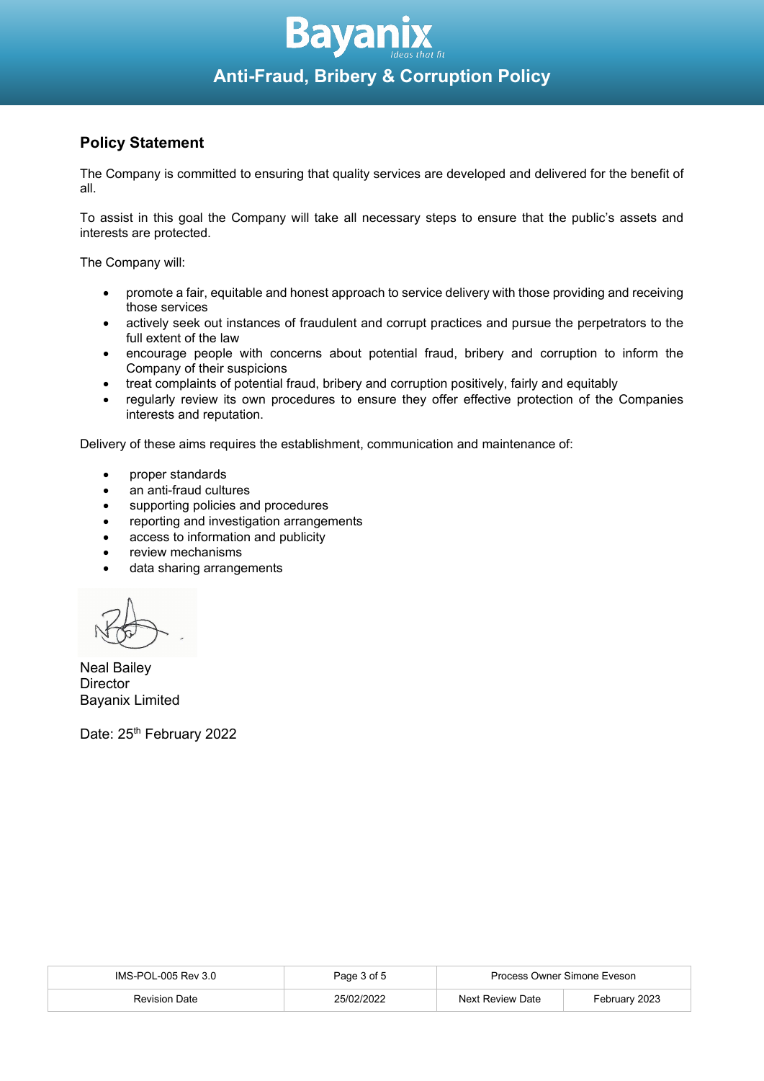

# **Policy Statement**

The Company is committed to ensuring that quality services are developed and delivered for the benefit of all.

To assist in this goal the Company will take all necessary steps to ensure that the public's assets and interests are protected.

The Company will:

- promote a fair, equitable and honest approach to service delivery with those providing and receiving those services
- actively seek out instances of fraudulent and corrupt practices and pursue the perpetrators to the full extent of the law
- encourage people with concerns about potential fraud, bribery and corruption to inform the Company of their suspicions
- treat complaints of potential fraud, bribery and corruption positively, fairly and equitably
- regularly review its own procedures to ensure they offer effective protection of the Companies interests and reputation.

Delivery of these aims requires the establishment, communication and maintenance of:

- proper standards
- an anti-fraud cultures
- supporting policies and procedures
- reporting and investigation arrangements
- access to information and publicity
- review mechanisms
- data sharing arrangements

Neal Bailey **Director** Bayanix Limited

Date: 25<sup>th</sup> February 2022

| IMS-POL-005 Rev 3.0  | Page 3 of 5 | Process Owner Simone Eveson |               |
|----------------------|-------------|-----------------------------|---------------|
| <b>Revision Date</b> | 25/02/2022  | Next Review Date            | February 2023 |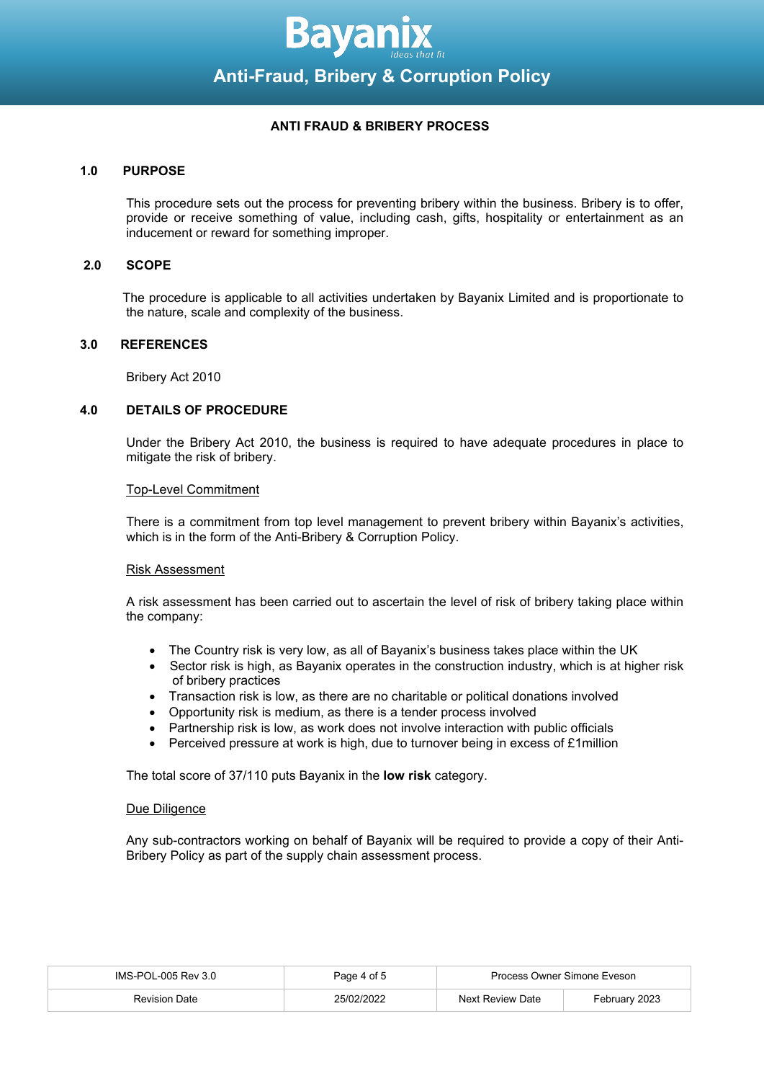

# **ANTI FRAUD & BRIBERY PROCESS**

### **1.0 PURPOSE**

This procedure sets out the process for preventing bribery within the business. Bribery is to offer, provide or receive something of value, including cash, gifts, hospitality or entertainment as an inducement or reward for something improper.

#### **2.0 SCOPE**

 The procedure is applicable to all activities undertaken by Bayanix Limited and is proportionate to the nature, scale and complexity of the business.

# **3.0 REFERENCES**

Bribery Act 2010

#### **4.0 DETAILS OF PROCEDURE**

Under the Bribery Act 2010, the business is required to have adequate procedures in place to mitigate the risk of bribery.

#### Top-Level Commitment

There is a commitment from top level management to prevent bribery within Bayanix's activities, which is in the form of the Anti-Bribery & Corruption Policy.

#### Risk Assessment

A risk assessment has been carried out to ascertain the level of risk of bribery taking place within the company:

- The Country risk is very low, as all of Bayanix's business takes place within the UK
- Sector risk is high, as Bayanix operates in the construction industry, which is at higher risk of bribery practices
- Transaction risk is low, as there are no charitable or political donations involved
- Opportunity risk is medium, as there is a tender process involved
- Partnership risk is low, as work does not involve interaction with public officials
- Perceived pressure at work is high, due to turnover being in excess of £1million

The total score of 37/110 puts Bayanix in the **low risk** category.

#### Due Diligence

Any sub-contractors working on behalf of Bayanix will be required to provide a copy of their Anti-Bribery Policy as part of the supply chain assessment process.

| IMS-POL-005 Rev 3.0  | Page 4 of 5 | Process Owner Simone Eveson |               |
|----------------------|-------------|-----------------------------|---------------|
| <b>Revision Date</b> |             | <b>Next Review Date</b>     | Februarv 2023 |